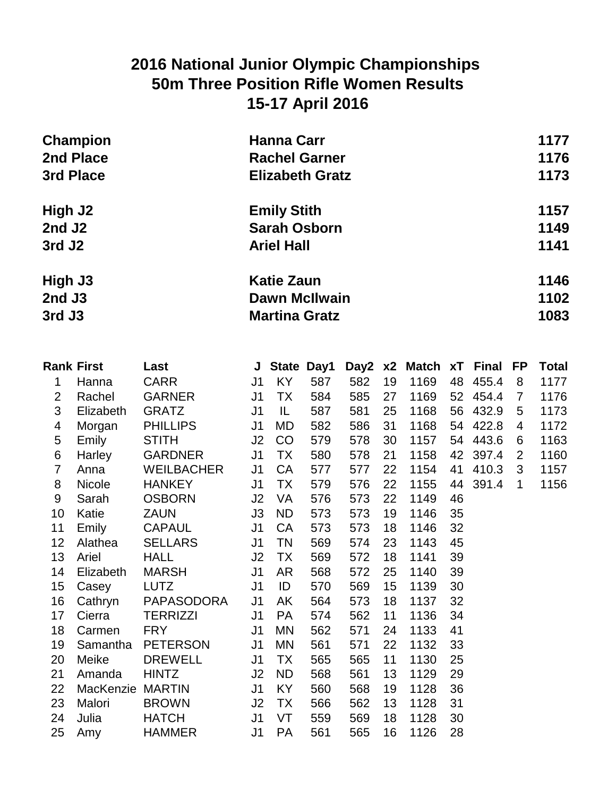## **2016 National Junior Olympic Championships 50m Three Position Rifle Women Results 15-17 April 2016**

| Champion            | <b>Hanna Carr</b>      | 1177 |
|---------------------|------------------------|------|
| 2nd Place           | <b>Rachel Garner</b>   | 1176 |
| 3rd Place           | <b>Elizabeth Gratz</b> | 1173 |
| High J <sub>2</sub> | <b>Emily Stith</b>     | 1157 |
| $2nd$ J $2$         | <b>Sarah Osborn</b>    | 1149 |
| 3rd J <sub>2</sub>  | <b>Ariel Hall</b>      | 1141 |
| High J3             | <b>Katie Zaun</b>      | 1146 |
| $2nd$ J3            | <b>Dawn McIlwain</b>   | 1102 |
| 3rd J3              | <b>Martina Gratz</b>   | 1083 |

|                | <b>Rank First</b> | Last              |                | J State Day1 |     |     |    | Day2 x2 Match xT Final FP |    |          |                | <b>Total</b> |
|----------------|-------------------|-------------------|----------------|--------------|-----|-----|----|---------------------------|----|----------|----------------|--------------|
| 1              | Hanna             | <b>CARR</b>       | J1             | KY           | 587 | 582 | 19 | 1169                      | 48 | 455.4    | 8              | 1177         |
| $\overline{2}$ | Rachel            | <b>GARNER</b>     | J <sub>1</sub> | TX           | 584 | 585 | 27 | 1169                      |    | 52 454.4 | $\overline{7}$ | 1176         |
| 3              | Elizabeth         | <b>GRATZ</b>      | J <sub>1</sub> | IL           | 587 | 581 | 25 | 1168                      | 56 | 432.9    | 5              | 1173         |
| 4              | Morgan            | <b>PHILLIPS</b>   | J1             | MD           | 582 | 586 | 31 | 1168                      |    | 54 422.8 | 4              | 1172         |
| 5              | Emily             | <b>STITH</b>      | J2             | CO           | 579 | 578 | 30 | 1157                      | 54 | 443.6    | 6              | 1163         |
| $\,6$          | Harley            | <b>GARDNER</b>    | J1             | TX           | 580 | 578 | 21 | 1158                      | 42 | 397.4    | $\overline{2}$ | 1160         |
| $\overline{7}$ | Anna              | <b>WEILBACHER</b> | J <sub>1</sub> | CA           | 577 | 577 | 22 | 1154                      | 41 | 410.3    | 3              | 1157         |
| 8              | <b>Nicole</b>     | <b>HANKEY</b>     | J <sub>1</sub> | <b>TX</b>    | 579 | 576 | 22 | 1155                      | 44 | 391.4    | $\mathbf 1$    | 1156         |
| 9              | Sarah             | <b>OSBORN</b>     | J2             | VA           | 576 | 573 | 22 | 1149                      | 46 |          |                |              |
| 10             | Katie             | <b>ZAUN</b>       | J3             | <b>ND</b>    | 573 | 573 | 19 | 1146                      | 35 |          |                |              |
| 11             | Emily             | <b>CAPAUL</b>     | J <sub>1</sub> | CA           | 573 | 573 | 18 | 1146                      | 32 |          |                |              |
| 12             | Alathea           | <b>SELLARS</b>    | J <sub>1</sub> | <b>TN</b>    | 569 | 574 | 23 | 1143                      | 45 |          |                |              |
| 13             | Ariel             | <b>HALL</b>       | J2             | TX           | 569 | 572 | 18 | 1141                      | 39 |          |                |              |
| 14             | Elizabeth         | <b>MARSH</b>      | J <sub>1</sub> | <b>AR</b>    | 568 | 572 | 25 | 1140                      | 39 |          |                |              |
| 15             | Casey             | <b>LUTZ</b>       | J <sub>1</sub> | ID           | 570 | 569 | 15 | 1139                      | 30 |          |                |              |
| 16             | Cathryn           | <b>PAPASODORA</b> | J <sub>1</sub> | AK           | 564 | 573 | 18 | 1137                      | 32 |          |                |              |
| 17             | Cierra            | <b>TERRIZZI</b>   | J1             | <b>PA</b>    | 574 | 562 | 11 | 1136                      | 34 |          |                |              |
| 18             | Carmen            | <b>FRY</b>        | J1             | MN           | 562 | 571 | 24 | 1133                      | 41 |          |                |              |
| 19             | Samantha          | <b>PETERSON</b>   | J <sub>1</sub> | ΜN           | 561 | 571 | 22 | 1132                      | 33 |          |                |              |
| 20             | Meike             | <b>DREWELL</b>    | J1             | <b>TX</b>    | 565 | 565 | 11 | 1130                      | 25 |          |                |              |
| 21             | Amanda            | <b>HINTZ</b>      | J <sub>2</sub> | <b>ND</b>    | 568 | 561 | 13 | 1129                      | 29 |          |                |              |
| 22             | MacKenzie         | <b>MARTIN</b>     | J1             | <b>KY</b>    | 560 | 568 | 19 | 1128                      | 36 |          |                |              |
| 23             | Malori            | <b>BROWN</b>      | J2             | TX           | 566 | 562 | 13 | 1128                      | 31 |          |                |              |
| 24             | Julia             | <b>HATCH</b>      | J <sub>1</sub> | VT           | 559 | 569 | 18 | 1128                      | 30 |          |                |              |
| 25             | Amy               | <b>HAMMER</b>     | J1             | <b>PA</b>    | 561 | 565 | 16 | 1126                      | 28 |          |                |              |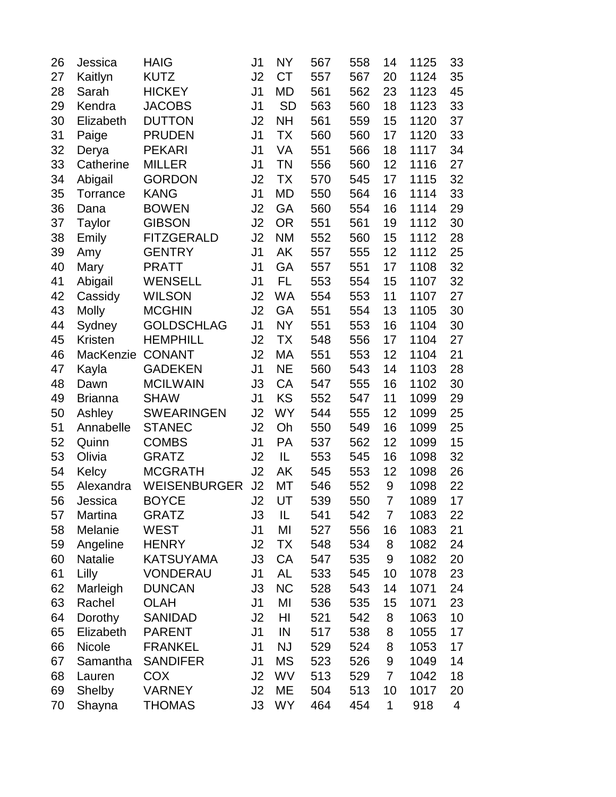| 26 | Jessica        | <b>HAIG</b>         | J1             | <b>NY</b> | 567 | 558 | 14             | 1125 | 33 |
|----|----------------|---------------------|----------------|-----------|-----|-----|----------------|------|----|
| 27 | Kaitlyn        | <b>KUTZ</b>         | J <sub>2</sub> | <b>CT</b> | 557 | 567 | 20             | 1124 | 35 |
| 28 | Sarah          | <b>HICKEY</b>       | J <sub>1</sub> | MD        | 561 | 562 | 23             | 1123 | 45 |
| 29 | Kendra         | <b>JACOBS</b>       | J <sub>1</sub> | <b>SD</b> | 563 | 560 | 18             | 1123 | 33 |
| 30 | Elizabeth      | <b>DUTTON</b>       | J <sub>2</sub> | <b>NH</b> | 561 | 559 | 15             | 1120 | 37 |
| 31 | Paige          | <b>PRUDEN</b>       | J <sub>1</sub> | ТX        | 560 | 560 | 17             | 1120 | 33 |
| 32 | Derya          | <b>PEKARI</b>       | J <sub>1</sub> | VA        | 551 | 566 | 18             | 1117 | 34 |
| 33 | Catherine      | <b>MILLER</b>       | J <sub>1</sub> | TN        | 556 | 560 | 12             | 1116 | 27 |
| 34 | Abigail        | <b>GORDON</b>       | J <sub>2</sub> | TX        | 570 | 545 | 17             | 1115 | 32 |
| 35 | Torrance       | <b>KANG</b>         | J <sub>1</sub> | MD        | 550 | 564 | 16             | 1114 | 33 |
| 36 | Dana           | <b>BOWEN</b>        | J <sub>2</sub> | GA        | 560 | 554 | 16             | 1114 | 29 |
| 37 | <b>Taylor</b>  | <b>GIBSON</b>       | J2             | <b>OR</b> | 551 | 561 | 19             | 1112 | 30 |
| 38 | Emily          | <b>FITZGERALD</b>   | J2             | <b>NM</b> | 552 | 560 | 15             | 1112 | 28 |
| 39 | Amy            | <b>GENTRY</b>       | J <sub>1</sub> | AK        | 557 | 555 | 12             | 1112 | 25 |
| 40 | Mary           | <b>PRATT</b>        | J <sub>1</sub> | GA        | 557 | 551 | 17             | 1108 | 32 |
| 41 | Abigail        | <b>WENSELL</b>      | J <sub>1</sub> | <b>FL</b> | 553 | 554 | 15             | 1107 | 32 |
| 42 | Cassidy        | <b>WILSON</b>       | J <sub>2</sub> | <b>WA</b> | 554 | 553 | 11             | 1107 | 27 |
| 43 | <b>Molly</b>   | <b>MCGHIN</b>       | J2             | GA        | 551 | 554 | 13             | 1105 | 30 |
| 44 | Sydney         | <b>GOLDSCHLAG</b>   | J <sub>1</sub> | <b>NY</b> | 551 | 553 | 16             | 1104 | 30 |
| 45 | <b>Kristen</b> | <b>HEMPHILL</b>     | J <sub>2</sub> | ТX        | 548 | 556 | 17             | 1104 | 27 |
| 46 | MacKenzie      | <b>CONANT</b>       | J2             | МA        | 551 | 553 | 12             | 1104 | 21 |
| 47 | Kayla          | <b>GADEKEN</b>      | J <sub>1</sub> | <b>NE</b> | 560 | 543 | 14             | 1103 | 28 |
| 48 | Dawn           | <b>MCILWAIN</b>     | J3             | CA        | 547 | 555 | 16             | 1102 | 30 |
| 49 | <b>Brianna</b> | <b>SHAW</b>         | J <sub>1</sub> | KS        | 552 | 547 | 11             | 1099 | 29 |
| 50 | Ashley         | <b>SWEARINGEN</b>   | J <sub>2</sub> | <b>WY</b> | 544 | 555 | 12             | 1099 | 25 |
| 51 | Annabelle      | <b>STANEC</b>       | J2             | Oh        | 550 | 549 | 16             | 1099 | 25 |
| 52 | Quinn          | <b>COMBS</b>        | J <sub>1</sub> | <b>PA</b> | 537 | 562 | 12             | 1099 | 15 |
| 53 | Olivia         | <b>GRATZ</b>        | J2             | IL        | 553 | 545 | 16             | 1098 | 32 |
| 54 | Kelcy          | <b>MCGRATH</b>      | J <sub>2</sub> | AK        | 545 | 553 | 12             | 1098 | 26 |
| 55 | Alexandra      | <b>WEISENBURGER</b> | J <sub>2</sub> | МT        | 546 | 552 | 9              | 1098 | 22 |
| 56 | Jessica        | <b>BOYCE</b>        | J2             | UT        | 539 | 550 | $\overline{7}$ | 1089 | 17 |
| 57 | Martina        | <b>GRATZ</b>        | J3             | IL        | 541 | 542 | 7              | 1083 | 22 |
| 58 | Melanie        | <b>WEST</b>         | J <sub>1</sub> | MI        | 527 | 556 | 16             | 1083 | 21 |
| 59 | Angeline       | <b>HENRY</b>        | J <sub>2</sub> | TX        | 548 | 534 | 8              | 1082 | 24 |
| 60 | <b>Natalie</b> | <b>KATSUYAMA</b>    | J3             | CA        | 547 | 535 | 9              | 1082 | 20 |
| 61 | Lilly          | <b>VONDERAU</b>     | J <sub>1</sub> | AL        | 533 | 545 | 10             | 1078 | 23 |
| 62 | Marleigh       | <b>DUNCAN</b>       | J3             | <b>NC</b> | 528 | 543 | 14             | 1071 | 24 |
| 63 | Rachel         | <b>OLAH</b>         | J <sub>1</sub> | MI        | 536 | 535 | 15             | 1071 | 23 |
| 64 | Dorothy        | <b>SANIDAD</b>      | J <sub>2</sub> | HI        | 521 | 542 | 8              | 1063 | 10 |
| 65 | Elizabeth      | <b>PARENT</b>       | J <sub>1</sub> | IN        | 517 | 538 | 8              | 1055 | 17 |
| 66 | <b>Nicole</b>  | <b>FRANKEL</b>      | J <sub>1</sub> | <b>NJ</b> | 529 | 524 | 8              | 1053 | 17 |
| 67 | Samantha       | <b>SANDIFER</b>     | J <sub>1</sub> | <b>MS</b> | 523 | 526 | 9              | 1049 | 14 |
| 68 | Lauren         | <b>COX</b>          | J <sub>2</sub> | WV        | 513 | 529 | $\overline{7}$ | 1042 | 18 |
| 69 | Shelby         | <b>VARNEY</b>       | J <sub>2</sub> | MЕ        | 504 | 513 | 10             | 1017 | 20 |
| 70 | Shayna         | <b>THOMAS</b>       | J3             | <b>WY</b> | 464 | 454 | 1              | 918  | 4  |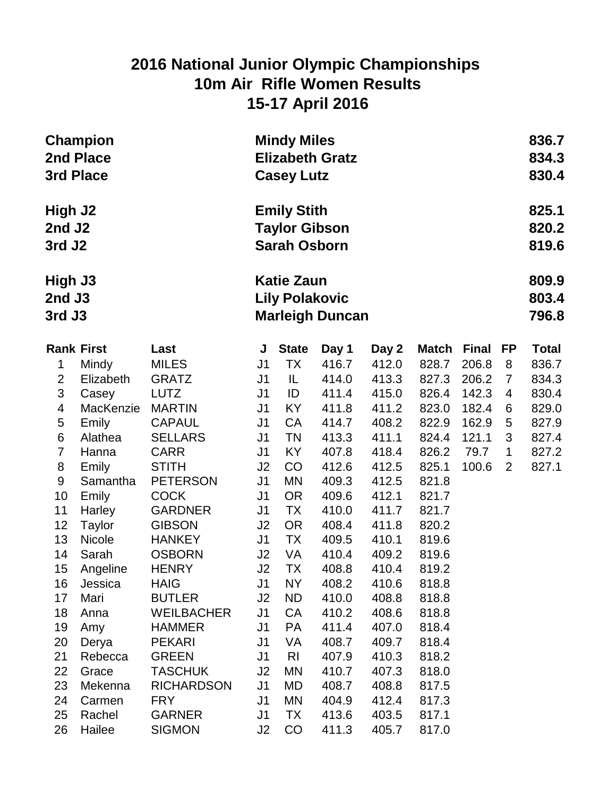## **2016 National Junior Olympic Championships 10m Air Rifle Women Results 15-17 April 2016**

|                                                     | <b>Champion</b><br>2nd Place<br>3rd Place |                   | <b>Mindy Miles</b><br><b>Elizabeth Gratz</b><br><b>Casey Lutz</b> |                                                                      |       |       |              |              |                | 836.7<br>834.3<br>830.4 |  |  |  |
|-----------------------------------------------------|-------------------------------------------|-------------------|-------------------------------------------------------------------|----------------------------------------------------------------------|-------|-------|--------------|--------------|----------------|-------------------------|--|--|--|
| High J2<br>2nd J <sub>2</sub><br>3rd J <sub>2</sub> |                                           |                   | <b>Emily Stith</b><br><b>Taylor Gibson</b><br><b>Sarah Osborn</b> |                                                                      |       |       |              |              |                |                         |  |  |  |
| High J3<br>$2nd$ J3<br>3rd J3                       |                                           |                   |                                                                   | <b>Katie Zaun</b><br><b>Lily Polakovic</b><br><b>Marleigh Duncan</b> |       |       |              |              |                |                         |  |  |  |
| <b>Rank First</b>                                   |                                           | Last              | J                                                                 | <b>State</b>                                                         | Day 1 | Day 2 | <b>Match</b> | <b>Final</b> | <b>FP</b>      | <b>Total</b>            |  |  |  |
| $\mathbf 1$                                         | Mindy                                     | <b>MILES</b>      | J <sub>1</sub>                                                    | <b>TX</b>                                                            | 416.7 | 412.0 | 828.7        | 206.8        | 8              | 836.7                   |  |  |  |
| $\overline{2}$                                      | Elizabeth                                 | <b>GRATZ</b>      | J <sub>1</sub>                                                    | IL.                                                                  | 414.0 | 413.3 | 827.3        | 206.2        | $\overline{7}$ | 834.3                   |  |  |  |
| 3                                                   | Casey                                     | <b>LUTZ</b>       | J <sub>1</sub>                                                    | ID                                                                   | 411.4 | 415.0 | 826.4        | 142.3        | 4              | 830.4                   |  |  |  |
| 4                                                   | MacKenzie                                 | <b>MARTIN</b>     | J <sub>1</sub>                                                    | KY                                                                   | 411.8 | 411.2 | 823.0        | 182.4        | 6              | 829.0                   |  |  |  |
| 5                                                   | Emily                                     | <b>CAPAUL</b>     | J <sub>1</sub>                                                    | <b>CA</b>                                                            | 414.7 | 408.2 | 822.9        | 162.9        | 5              | 827.9                   |  |  |  |
| 6                                                   | Alathea                                   | <b>SELLARS</b>    | J <sub>1</sub>                                                    | <b>TN</b>                                                            | 413.3 | 411.1 | 824.4        | 121.1        | 3              | 827.4                   |  |  |  |
| $\overline{7}$                                      | Hanna                                     | <b>CARR</b>       | J <sub>1</sub>                                                    | KY                                                                   | 407.8 | 418.4 | 826.2        | 79.7         | $\mathbf 1$    | 827.2                   |  |  |  |
| 8                                                   | Emily                                     | <b>STITH</b>      | J2                                                                | CO                                                                   | 412.6 | 412.5 | 825.1        | 100.6        | 2              | 827.1                   |  |  |  |
| $\boldsymbol{9}$                                    | Samantha                                  | <b>PETERSON</b>   | J <sub>1</sub>                                                    | <b>MN</b>                                                            | 409.3 | 412.5 | 821.8        |              |                |                         |  |  |  |
| 10                                                  | Emily                                     | <b>COCK</b>       | J <sub>1</sub>                                                    | <b>OR</b>                                                            | 409.6 | 412.1 | 821.7        |              |                |                         |  |  |  |
| 11                                                  | Harley                                    | <b>GARDNER</b>    | J <sub>1</sub>                                                    | TX                                                                   | 410.0 | 411.7 | 821.7        |              |                |                         |  |  |  |
| 12                                                  | Taylor                                    | <b>GIBSON</b>     | J2                                                                | <b>OR</b>                                                            | 408.4 | 411.8 | 820.2        |              |                |                         |  |  |  |
| 13                                                  | Nicole                                    | <b>HANKEY</b>     | J <sub>1</sub>                                                    | <b>TX</b>                                                            | 409.5 | 410.1 | 819.6        |              |                |                         |  |  |  |
| 14                                                  | Sarah                                     | <b>OSBORN</b>     | J2                                                                | VA                                                                   | 410.4 | 409.2 | 819.6        |              |                |                         |  |  |  |
| 15                                                  | Angeline                                  | <b>HENRY</b>      | J2                                                                | <b>TX</b>                                                            | 408.8 | 410.4 | 819.2        |              |                |                         |  |  |  |
| 16                                                  | Jessica                                   | <b>HAIG</b>       | J <sub>1</sub>                                                    | <b>NY</b>                                                            | 408.2 | 410.6 | 818.8        |              |                |                         |  |  |  |
| 17                                                  | Mari                                      | <b>BUTLER</b>     | J2                                                                | <b>ND</b>                                                            | 410.0 | 408.8 | 818.8        |              |                |                         |  |  |  |
| 18                                                  | Anna                                      | <b>WEILBACHER</b> | J <sub>1</sub>                                                    | CA                                                                   | 410.2 | 408.6 | 818.8        |              |                |                         |  |  |  |
| 19                                                  | Amy                                       | <b>HAMMER</b>     | J <sub>1</sub>                                                    | <b>PA</b>                                                            | 411.4 | 407.0 | 818.4        |              |                |                         |  |  |  |
| 20                                                  | Derya                                     | <b>PEKARI</b>     | J <sub>1</sub>                                                    | VA                                                                   | 408.7 | 409.7 | 818.4        |              |                |                         |  |  |  |
| 21                                                  | Rebecca                                   | <b>GREEN</b>      | J <sub>1</sub>                                                    | R <sub>l</sub>                                                       | 407.9 | 410.3 | 818.2        |              |                |                         |  |  |  |
| 22                                                  | Grace                                     | <b>TASCHUK</b>    | J2                                                                | <b>MN</b>                                                            | 410.7 | 407.3 | 818.0        |              |                |                         |  |  |  |
| 23                                                  | Mekenna                                   | <b>RICHARDSON</b> | J <sub>1</sub>                                                    | MD                                                                   | 408.7 | 408.8 | 817.5        |              |                |                         |  |  |  |
| 24                                                  | Carmen                                    | <b>FRY</b>        | J <sub>1</sub>                                                    | <b>MN</b>                                                            | 404.9 | 412.4 | 817.3        |              |                |                         |  |  |  |
| 25                                                  | Rachel                                    | <b>GARNER</b>     | J <sub>1</sub>                                                    | TX                                                                   | 413.6 | 403.5 | 817.1        |              |                |                         |  |  |  |
| 26                                                  | Hailee                                    | <b>SIGMON</b>     | J2                                                                | CO                                                                   | 411.3 | 405.7 | 817.0        |              |                |                         |  |  |  |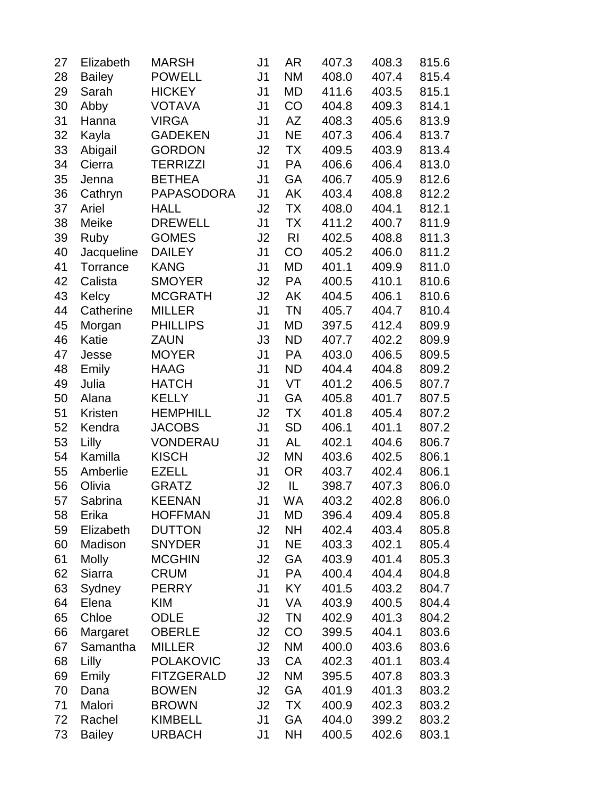| 27 | Elizabeth     | <b>MARSH</b>      | J <sub>1</sub> | AR             | 407.3 | 408.3 | 815.6 |
|----|---------------|-------------------|----------------|----------------|-------|-------|-------|
| 28 | <b>Bailey</b> | <b>POWELL</b>     | J <sub>1</sub> | <b>NM</b>      | 408.0 | 407.4 | 815.4 |
| 29 | Sarah         | <b>HICKEY</b>     | J <sub>1</sub> | MD             | 411.6 | 403.5 | 815.1 |
| 30 | Abby          | <b>VOTAVA</b>     | J <sub>1</sub> | CO             | 404.8 | 409.3 | 814.1 |
| 31 | Hanna         | <b>VIRGA</b>      | J <sub>1</sub> | AZ             | 408.3 | 405.6 | 813.9 |
| 32 | Kayla         | <b>GADEKEN</b>    | J <sub>1</sub> | <b>NE</b>      | 407.3 | 406.4 | 813.7 |
| 33 | Abigail       | <b>GORDON</b>     | J2             | <b>TX</b>      | 409.5 | 403.9 | 813.4 |
| 34 | Cierra        | <b>TERRIZZI</b>   | J <sub>1</sub> | PA             | 406.6 | 406.4 | 813.0 |
| 35 | Jenna         | <b>BETHEA</b>     | J <sub>1</sub> | GA             | 406.7 | 405.9 | 812.6 |
| 36 | Cathryn       | <b>PAPASODORA</b> | J <sub>1</sub> | AK             | 403.4 | 408.8 | 812.2 |
| 37 | Ariel         | <b>HALL</b>       | J2             | TX             | 408.0 | 404.1 | 812.1 |
| 38 | Meike         | <b>DREWELL</b>    | J <sub>1</sub> | <b>TX</b>      | 411.2 | 400.7 | 811.9 |
| 39 | Ruby          | <b>GOMES</b>      | J2             | R <sub>l</sub> | 402.5 | 408.8 | 811.3 |
| 40 | Jacqueline    | <b>DAILEY</b>     | J <sub>1</sub> | CO             | 405.2 | 406.0 | 811.2 |
| 41 | Torrance      | <b>KANG</b>       | J <sub>1</sub> | <b>MD</b>      | 401.1 | 409.9 | 811.0 |
| 42 | Calista       | <b>SMOYER</b>     | J2             | PA             | 400.5 | 410.1 | 810.6 |
| 43 | Kelcy         | <b>MCGRATH</b>    | J2             | AK             | 404.5 | 406.1 | 810.6 |
| 44 | Catherine     | <b>MILLER</b>     | J <sub>1</sub> | <b>TN</b>      | 405.7 | 404.7 | 810.4 |
| 45 | Morgan        | <b>PHILLIPS</b>   | J <sub>1</sub> | <b>MD</b>      | 397.5 | 412.4 | 809.9 |
| 46 | Katie         | <b>ZAUN</b>       | J3             | <b>ND</b>      | 407.7 | 402.2 | 809.9 |
| 47 | Jesse         | <b>MOYER</b>      | J <sub>1</sub> | PA             | 403.0 | 406.5 | 809.5 |
| 48 | Emily         | <b>HAAG</b>       | J <sub>1</sub> | <b>ND</b>      | 404.4 | 404.8 | 809.2 |
| 49 | Julia         | <b>HATCH</b>      | J <sub>1</sub> | VT             | 401.2 | 406.5 | 807.7 |
| 50 | Alana         | KELLY             | J <sub>1</sub> | GA             | 405.8 | 401.7 | 807.5 |
| 51 | Kristen       | <b>HEMPHILL</b>   | J2             | <b>TX</b>      | 401.8 | 405.4 | 807.2 |
| 52 | Kendra        | <b>JACOBS</b>     | J <sub>1</sub> | <b>SD</b>      | 406.1 | 401.1 | 807.2 |
| 53 | Lilly         | VONDERAU          | J <sub>1</sub> | <b>AL</b>      | 402.1 | 404.6 | 806.7 |
| 54 | Kamilla       | <b>KISCH</b>      | J2             | MN             | 403.6 | 402.5 | 806.1 |
| 55 | Amberlie      | <b>EZELL</b>      | J <sub>1</sub> | <b>OR</b>      | 403.7 | 402.4 | 806.1 |
| 56 | Olivia        | <b>GRATZ</b>      | J2             | IL             | 398.7 | 407.3 | 806.0 |
| 57 | Sabrina       | <b>KEENAN</b>     | J <sub>1</sub> | <b>WA</b>      | 403.2 | 402.8 | 806.0 |
| 58 | Erika         | <b>HOFFMAN</b>    | J1             | MD             | 396.4 | 409.4 | 805.8 |
| 59 | Elizabeth     | <b>DUTTON</b>     | J2             | <b>NH</b>      | 402.4 | 403.4 | 805.8 |
| 60 | Madison       | <b>SNYDER</b>     | J <sub>1</sub> | <b>NE</b>      | 403.3 | 402.1 | 805.4 |
| 61 | <b>Molly</b>  | <b>MCGHIN</b>     | J2             | GA             | 403.9 | 401.4 | 805.3 |
| 62 | Siarra        | <b>CRUM</b>       | J <sub>1</sub> | PA             | 400.4 | 404.4 | 804.8 |
| 63 | Sydney        | <b>PERRY</b>      | J <sub>1</sub> | ΚY             | 401.5 | 403.2 | 804.7 |
| 64 | Elena         | KIM               | J <sub>1</sub> | VA             | 403.9 | 400.5 | 804.4 |
| 65 | Chloe         | <b>ODLE</b>       | J2             | <b>TN</b>      | 402.9 | 401.3 | 804.2 |
| 66 | Margaret      | <b>OBERLE</b>     | J2             | CO             | 399.5 | 404.1 | 803.6 |
| 67 | Samantha      | <b>MILLER</b>     | J2             | <b>NM</b>      | 400.0 | 403.6 | 803.6 |
| 68 | Lilly         | <b>POLAKOVIC</b>  | J3             | CA             | 402.3 | 401.1 | 803.4 |
| 69 | Emily         | <b>FITZGERALD</b> | J2             | <b>NM</b>      | 395.5 | 407.8 | 803.3 |
| 70 | Dana          | <b>BOWEN</b>      | J2             | GA             | 401.9 | 401.3 | 803.2 |
| 71 | Malori        | <b>BROWN</b>      | J2             | <b>TX</b>      | 400.9 | 402.3 | 803.2 |
| 72 | Rachel        | <b>KIMBELL</b>    | J <sub>1</sub> | GA             | 404.0 | 399.2 | 803.2 |
| 73 | <b>Bailey</b> | <b>URBACH</b>     | J <sub>1</sub> | <b>NH</b>      | 400.5 | 402.6 | 803.1 |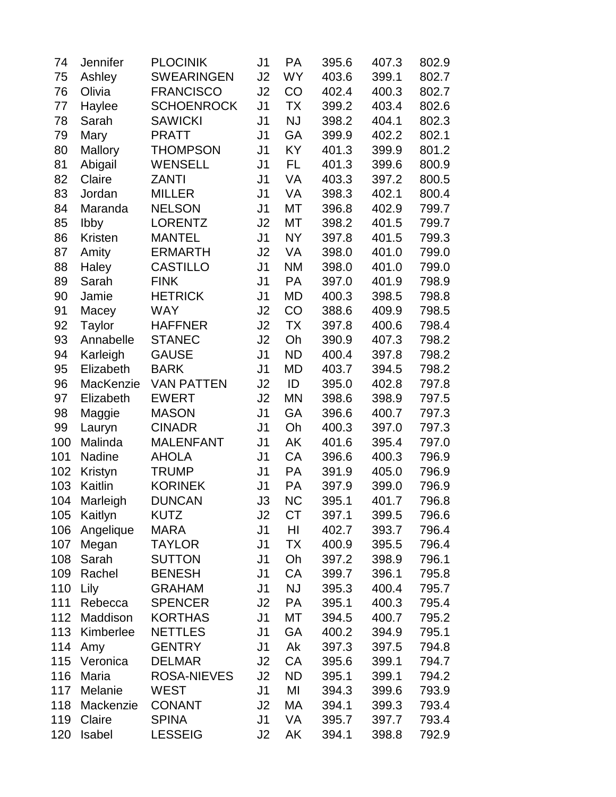| 74  | <b>Jennifer</b> | <b>PLOCINIK</b>   | J <sub>1</sub> | PA        | 395.6 | 407.3 | 802.9 |
|-----|-----------------|-------------------|----------------|-----------|-------|-------|-------|
| 75  | Ashley          | <b>SWEARINGEN</b> | J <sub>2</sub> | <b>WY</b> | 403.6 | 399.1 | 802.7 |
| 76  | Olivia          | <b>FRANCISCO</b>  | J <sub>2</sub> | CO        | 402.4 | 400.3 | 802.7 |
| 77  | Haylee          | <b>SCHOENROCK</b> | J <sub>1</sub> | <b>TX</b> | 399.2 | 403.4 | 802.6 |
| 78  | Sarah           | <b>SAWICKI</b>    | J <sub>1</sub> | <b>NJ</b> | 398.2 | 404.1 | 802.3 |
| 79  | Mary            | <b>PRATT</b>      | J <sub>1</sub> | GA        | 399.9 | 402.2 | 802.1 |
| 80  | Mallory         | <b>THOMPSON</b>   | J <sub>1</sub> | KY        | 401.3 | 399.9 | 801.2 |
| 81  | Abigail         | <b>WENSELL</b>    | J <sub>1</sub> | FL        | 401.3 | 399.6 | 800.9 |
| 82  | Claire          | ZANTI             | J <sub>1</sub> | VA        | 403.3 | 397.2 | 800.5 |
| 83  | Jordan          | <b>MILLER</b>     | J <sub>1</sub> | VA        | 398.3 | 402.1 | 800.4 |
| 84  | Maranda         | <b>NELSON</b>     | J <sub>1</sub> | MT        | 396.8 | 402.9 | 799.7 |
| 85  | Ibby            | <b>LORENTZ</b>    | J2             | МT        | 398.2 | 401.5 | 799.7 |
| 86  | Kristen         | <b>MANTEL</b>     | J <sub>1</sub> | <b>NY</b> | 397.8 | 401.5 | 799.3 |
| 87  | Amity           | <b>ERMARTH</b>    | J2             | VA        | 398.0 | 401.0 | 799.0 |
| 88  | Haley           | <b>CASTILLO</b>   | J <sub>1</sub> | <b>NM</b> | 398.0 | 401.0 | 799.0 |
| 89  | Sarah           | <b>FINK</b>       | J <sub>1</sub> | PA        | 397.0 | 401.9 | 798.9 |
| 90  | Jamie           | <b>HETRICK</b>    | J <sub>1</sub> | <b>MD</b> | 400.3 | 398.5 | 798.8 |
| 91  | Macey           | <b>WAY</b>        | J2             | CO        | 388.6 | 409.9 | 798.5 |
| 92  | Taylor          | <b>HAFFNER</b>    | J2             | <b>TX</b> | 397.8 | 400.6 | 798.4 |
| 93  | Annabelle       | <b>STANEC</b>     | J2             | Oh        | 390.9 | 407.3 | 798.2 |
| 94  | Karleigh        | <b>GAUSE</b>      | J <sub>1</sub> | <b>ND</b> | 400.4 | 397.8 | 798.2 |
| 95  | Elizabeth       | <b>BARK</b>       | J <sub>1</sub> | <b>MD</b> | 403.7 | 394.5 | 798.2 |
| 96  | MacKenzie       | <b>VAN PATTEN</b> | J2             | ID        | 395.0 | 402.8 | 797.8 |
| 97  | Elizabeth       | <b>EWERT</b>      | J2             | <b>MN</b> | 398.6 | 398.9 | 797.5 |
| 98  | Maggie          | <b>MASON</b>      | J <sub>1</sub> | GA        | 396.6 | 400.7 | 797.3 |
| 99  | Lauryn          | <b>CINADR</b>     | J <sub>1</sub> | Oh        | 400.3 | 397.0 | 797.3 |
| 100 | Malinda         | <b>MALENFANT</b>  | J <sub>1</sub> | AK        | 401.6 | 395.4 | 797.0 |
| 101 | Nadine          | <b>AHOLA</b>      | J <sub>1</sub> | CA        | 396.6 | 400.3 | 796.9 |
| 102 | Kristyn         | <b>TRUMP</b>      | J <sub>1</sub> | PA        | 391.9 | 405.0 | 796.9 |
| 103 | Kaitlin         | <b>KORINEK</b>    | J <sub>1</sub> | PA        | 397.9 | 399.0 | 796.9 |
| 104 | Marleigh        | <b>DUNCAN</b>     | J3             | <b>NC</b> | 395.1 | 401.7 | 796.8 |
| 105 | Kaitlyn         | <b>KUTZ</b>       | J2             | СT        | 397.1 | 399.5 | 796.6 |
| 106 | Angelique       | <b>MARA</b>       | J <sub>1</sub> | HI        | 402.7 | 393.7 | 796.4 |
| 107 | Megan           | <b>TAYLOR</b>     | J <sub>1</sub> | ТX        | 400.9 | 395.5 | 796.4 |
| 108 | Sarah           | <b>SUTTON</b>     | J <sub>1</sub> | Oh        | 397.2 | 398.9 | 796.1 |
| 109 | Rachel          | <b>BENESH</b>     | J <sub>1</sub> | CA        | 399.7 | 396.1 | 795.8 |
| 110 | Lily            | <b>GRAHAM</b>     | J <sub>1</sub> | <b>NJ</b> | 395.3 | 400.4 | 795.7 |
| 111 | Rebecca         | <b>SPENCER</b>    | J2             | PA        | 395.1 | 400.3 | 795.4 |
| 112 | Maddison        | <b>KORTHAS</b>    | J <sub>1</sub> | МT        | 394.5 | 400.7 | 795.2 |
| 113 | Kimberlee       | <b>NETTLES</b>    | J <sub>1</sub> | GA        | 400.2 | 394.9 | 795.1 |
| 114 | Amy             | <b>GENTRY</b>     | J <sub>1</sub> | Ak        | 397.3 | 397.5 | 794.8 |
| 115 | Veronica        | <b>DELMAR</b>     | J2             | CA        | 395.6 | 399.1 | 794.7 |
| 116 | Maria           | ROSA-NIEVES       | J <sub>2</sub> | <b>ND</b> | 395.1 | 399.1 | 794.2 |
| 117 | Melanie         | WEST              | J <sub>1</sub> | MI        | 394.3 | 399.6 | 793.9 |
| 118 | Mackenzie       | <b>CONANT</b>     | J2             | МA        | 394.1 | 399.3 | 793.4 |
| 119 | Claire          | <b>SPINA</b>      | J <sub>1</sub> | VA        | 395.7 | 397.7 | 793.4 |
| 120 | Isabel          | <b>LESSEIG</b>    | J2             | ΑK        | 394.1 | 398.8 | 792.9 |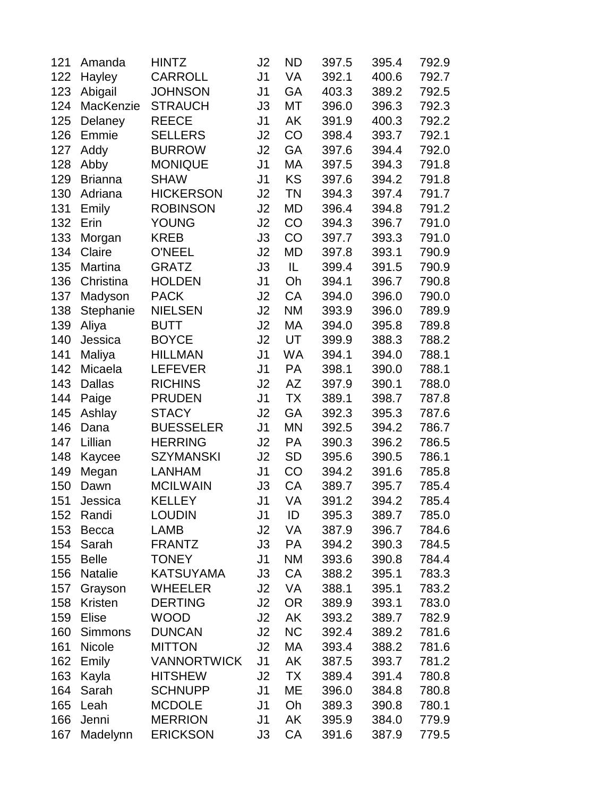| 121 | Amanda         | <b>HINTZ</b>       | J <sub>2</sub> | <b>ND</b> | 397.5 | 395.4 | 792.9 |
|-----|----------------|--------------------|----------------|-----------|-------|-------|-------|
| 122 | Hayley         | <b>CARROLL</b>     | J <sub>1</sub> | VA        | 392.1 | 400.6 | 792.7 |
| 123 | Abigail        | <b>JOHNSON</b>     | J <sub>1</sub> | GA        | 403.3 | 389.2 | 792.5 |
| 124 | MacKenzie      | <b>STRAUCH</b>     | J3             | MT        | 396.0 | 396.3 | 792.3 |
| 125 | Delaney        | <b>REECE</b>       | J <sub>1</sub> | ΑK        | 391.9 | 400.3 | 792.2 |
| 126 | Emmie          | <b>SELLERS</b>     | J2             | CO        | 398.4 | 393.7 | 792.1 |
| 127 | Addy           | <b>BURROW</b>      | J2             | GA        | 397.6 | 394.4 | 792.0 |
| 128 | Abby           | <b>MONIQUE</b>     | J <sub>1</sub> | МA        | 397.5 | 394.3 | 791.8 |
| 129 | <b>Brianna</b> | <b>SHAW</b>        | J <sub>1</sub> | KS        | 397.6 | 394.2 | 791.8 |
| 130 | Adriana        | <b>HICKERSON</b>   | J2             | <b>TN</b> | 394.3 | 397.4 | 791.7 |
| 131 | Emily          | <b>ROBINSON</b>    | J2             | <b>MD</b> | 396.4 | 394.8 | 791.2 |
| 132 | Erin           | YOUNG              | J2             | CO        | 394.3 | 396.7 | 791.0 |
| 133 | Morgan         | <b>KREB</b>        | J3             | CO        | 397.7 | 393.3 | 791.0 |
| 134 | Claire         | <b>O'NEEL</b>      | J2             | <b>MD</b> | 397.8 | 393.1 | 790.9 |
| 135 | Martina        | <b>GRATZ</b>       | J3             | IL        | 399.4 | 391.5 | 790.9 |
| 136 | Christina      | <b>HOLDEN</b>      | J1             | Oh        | 394.1 | 396.7 | 790.8 |
| 137 | Madyson        | <b>PACK</b>        | J2             | CA        | 394.0 | 396.0 | 790.0 |
| 138 | Stephanie      | <b>NIELSEN</b>     | J2             | <b>NM</b> | 393.9 | 396.0 | 789.9 |
| 139 | Aliya          | <b>BUTT</b>        | J2             | МA        | 394.0 | 395.8 | 789.8 |
| 140 | Jessica        | <b>BOYCE</b>       | J2             | UT        | 399.9 | 388.3 | 788.2 |
| 141 | Maliya         | <b>HILLMAN</b>     | J <sub>1</sub> | WA        | 394.1 | 394.0 | 788.1 |
| 142 | Micaela        | <b>LEFEVER</b>     | J <sub>1</sub> | PA        | 398.1 | 390.0 | 788.1 |
| 143 | <b>Dallas</b>  | <b>RICHINS</b>     | J2             | AZ        | 397.9 | 390.1 | 788.0 |
| 144 | Paige          | <b>PRUDEN</b>      | J <sub>1</sub> | <b>TX</b> | 389.1 | 398.7 | 787.8 |
| 145 | Ashlay         | <b>STACY</b>       | J2             | GA        | 392.3 | 395.3 | 787.6 |
| 146 | Dana           | <b>BUESSELER</b>   | J <sub>1</sub> | <b>MN</b> | 392.5 | 394.2 | 786.7 |
| 147 | Lillian        | <b>HERRING</b>     | J2             | PA        | 390.3 | 396.2 | 786.5 |
| 148 | Kaycee         | <b>SZYMANSKI</b>   | J2             | <b>SD</b> | 395.6 | 390.5 | 786.1 |
| 149 | Megan          | <b>LANHAM</b>      | J <sub>1</sub> | CO        | 394.2 | 391.6 | 785.8 |
| 150 | Dawn           | <b>MCILWAIN</b>    | J3             | CA        | 389.7 | 395.7 | 785.4 |
| 151 | Jessica        | <b>KELLEY</b>      | J <sub>1</sub> | VA        | 391.2 | 394.2 | 785.4 |
| 152 | Randi          | <b>LOUDIN</b>      | J <sub>1</sub> | ID        | 395.3 | 389.7 | 785.0 |
| 153 | Becca          | <b>LAMB</b>        | J2             | VA        | 387.9 | 396.7 | 784.6 |
| 154 | Sarah          | <b>FRANTZ</b>      | J3             | PA        | 394.2 | 390.3 | 784.5 |
| 155 | <b>Belle</b>   | <b>TONEY</b>       | J <sub>1</sub> | <b>NM</b> | 393.6 | 390.8 | 784.4 |
| 156 | <b>Natalie</b> | <b>KATSUYAMA</b>   | J3             | CA        | 388.2 | 395.1 | 783.3 |
| 157 | Grayson        | <b>WHEELER</b>     | J2             | VA        | 388.1 | 395.1 | 783.2 |
| 158 | Kristen        | <b>DERTING</b>     | J2             | <b>OR</b> | 389.9 | 393.1 | 783.0 |
| 159 | Elise          | <b>WOOD</b>        | J2             | AK        | 393.2 | 389.7 | 782.9 |
| 160 | Simmons        | <b>DUNCAN</b>      | J2             | <b>NC</b> | 392.4 | 389.2 | 781.6 |
| 161 | <b>Nicole</b>  | <b>MITTON</b>      | J2             | МA        | 393.4 | 388.2 | 781.6 |
| 162 | Emily          | <b>VANNORTWICK</b> | J <sub>1</sub> | AK        | 387.5 | 393.7 | 781.2 |
| 163 | Kayla          | <b>HITSHEW</b>     | J2             | TX        | 389.4 | 391.4 | 780.8 |
| 164 | Sarah          | <b>SCHNUPP</b>     | J <sub>1</sub> | ME        | 396.0 | 384.8 | 780.8 |
| 165 | Leah           | <b>MCDOLE</b>      | J <sub>1</sub> | Oh        | 389.3 | 390.8 | 780.1 |
| 166 | Jenni          | <b>MERRION</b>     | J <sub>1</sub> | AΚ        | 395.9 | 384.0 | 779.9 |
| 167 | Madelynn       | <b>ERICKSON</b>    | J3             | СA        | 391.6 | 387.9 | 779.5 |